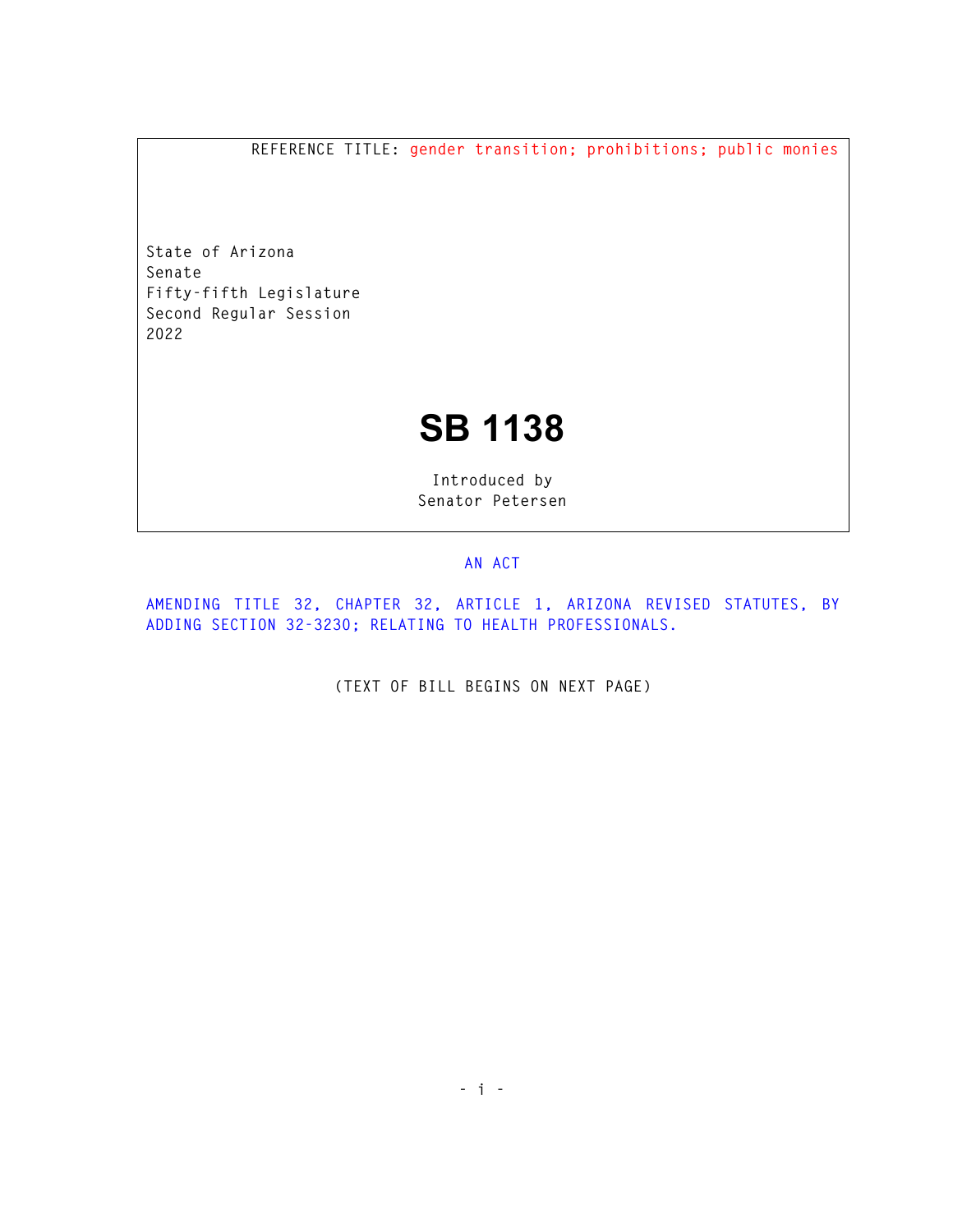**REFERENCE TITLE: gender transition; prohibitions; public monies** 

**State of Arizona Senate Fifty-fifth Legislature Second Regular Session 2022** 

## **SB 1138**

**Introduced by Senator Petersen** 

## **AN ACT**

**AMENDING TITLE 32, CHAPTER 32, ARTICLE 1, ARIZONA REVISED STATUTES, BY ADDING SECTION 32-3230; RELATING TO HEALTH PROFESSIONALS.** 

**(TEXT OF BILL BEGINS ON NEXT PAGE)**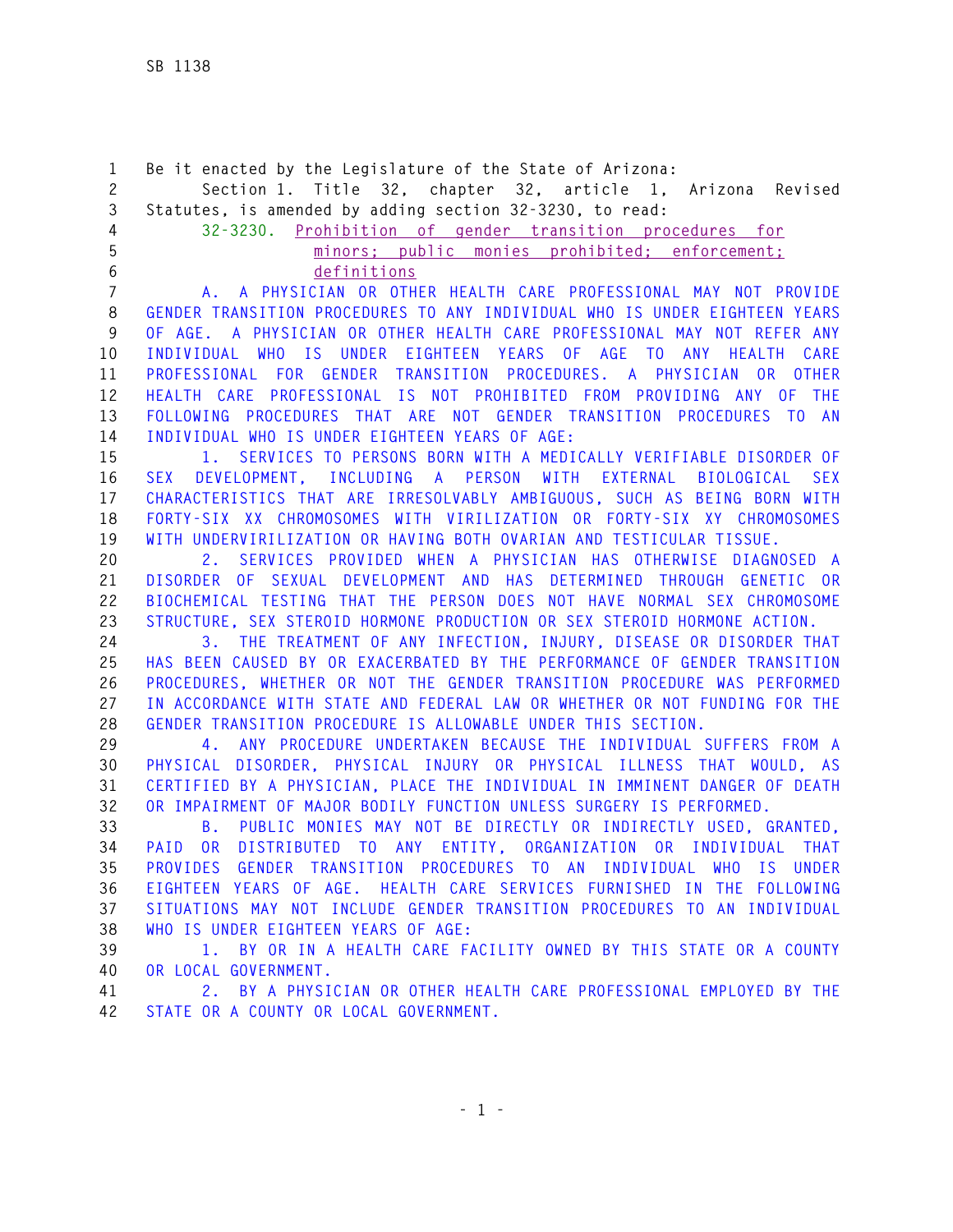**1 Be it enacted by the Legislature of the State of Arizona: 2 Section 1. Title 32, chapter 32, article 1, Arizona Revised 3 Statutes, is amended by adding section 32-3230, to read: 4 32-3230. Prohibition of gender transition procedures for 5 minors; public monies prohibited; enforcement; 6 definitions 7 A. A PHYSICIAN OR OTHER HEALTH CARE PROFESSIONAL MAY NOT PROVIDE 8 GENDER TRANSITION PROCEDURES TO ANY INDIVIDUAL WHO IS UNDER EIGHTEEN YEARS 9 OF AGE. A PHYSICIAN OR OTHER HEALTH CARE PROFESSIONAL MAY NOT REFER ANY 10 INDIVIDUAL WHO IS UNDER EIGHTEEN YEARS OF AGE TO ANY HEALTH CARE 11 PROFESSIONAL FOR GENDER TRANSITION PROCEDURES. A PHYSICIAN OR OTHER 12 HEALTH CARE PROFESSIONAL IS NOT PROHIBITED FROM PROVIDING ANY OF THE 13 FOLLOWING PROCEDURES THAT ARE NOT GENDER TRANSITION PROCEDURES TO AN 14 INDIVIDUAL WHO IS UNDER EIGHTEEN YEARS OF AGE: 15 1. SERVICES TO PERSONS BORN WITH A MEDICALLY VERIFIABLE DISORDER OF 16 SEX DEVELOPMENT, INCLUDING A PERSON WITH EXTERNAL BIOLOGICAL SEX 17 CHARACTERISTICS THAT ARE IRRESOLVABLY AMBIGUOUS, SUCH AS BEING BORN WITH 18 FORTY-SIX XX CHROMOSOMES WITH VIRILIZATION OR FORTY-SIX XY CHROMOSOMES 19 WITH UNDERVIRILIZATION OR HAVING BOTH OVARIAN AND TESTICULAR TISSUE. 20 2. SERVICES PROVIDED WHEN A PHYSICIAN HAS OTHERWISE DIAGNOSED A 21 DISORDER OF SEXUAL DEVELOPMENT AND HAS DETERMINED THROUGH GENETIC OR 22 BIOCHEMICAL TESTING THAT THE PERSON DOES NOT HAVE NORMAL SEX CHROMOSOME 23 STRUCTURE, SEX STEROID HORMONE PRODUCTION OR SEX STEROID HORMONE ACTION. 24 3. THE TREATMENT OF ANY INFECTION, INJURY, DISEASE OR DISORDER THAT 25 HAS BEEN CAUSED BY OR EXACERBATED BY THE PERFORMANCE OF GENDER TRANSITION 26 PROCEDURES, WHETHER OR NOT THE GENDER TRANSITION PROCEDURE WAS PERFORMED 27 IN ACCORDANCE WITH STATE AND FEDERAL LAW OR WHETHER OR NOT FUNDING FOR THE 28 GENDER TRANSITION PROCEDURE IS ALLOWABLE UNDER THIS SECTION. 29 4. ANY PROCEDURE UNDERTAKEN BECAUSE THE INDIVIDUAL SUFFERS FROM A 30 PHYSICAL DISORDER, PHYSICAL INJURY OR PHYSICAL ILLNESS THAT WOULD, AS 31 CERTIFIED BY A PHYSICIAN, PLACE THE INDIVIDUAL IN IMMINENT DANGER OF DEATH 32 OR IMPAIRMENT OF MAJOR BODILY FUNCTION UNLESS SURGERY IS PERFORMED. 33 B. PUBLIC MONIES MAY NOT BE DIRECTLY OR INDIRECTLY USED, GRANTED, 34 PAID OR DISTRIBUTED TO ANY ENTITY, ORGANIZATION OR INDIVIDUAL THAT 35 PROVIDES GENDER TRANSITION PROCEDURES TO AN INDIVIDUAL WHO IS UNDER 36 EIGHTEEN YEARS OF AGE. HEALTH CARE SERVICES FURNISHED IN THE FOLLOWING 37 SITUATIONS MAY NOT INCLUDE GENDER TRANSITION PROCEDURES TO AN INDIVIDUAL 38 WHO IS UNDER EIGHTEEN YEARS OF AGE: 39 1. BY OR IN A HEALTH CARE FACILITY OWNED BY THIS STATE OR A COUNTY 40 OR LOCAL GOVERNMENT. 41 2. BY A PHYSICIAN OR OTHER HEALTH CARE PROFESSIONAL EMPLOYED BY THE 42 STATE OR A COUNTY OR LOCAL GOVERNMENT.**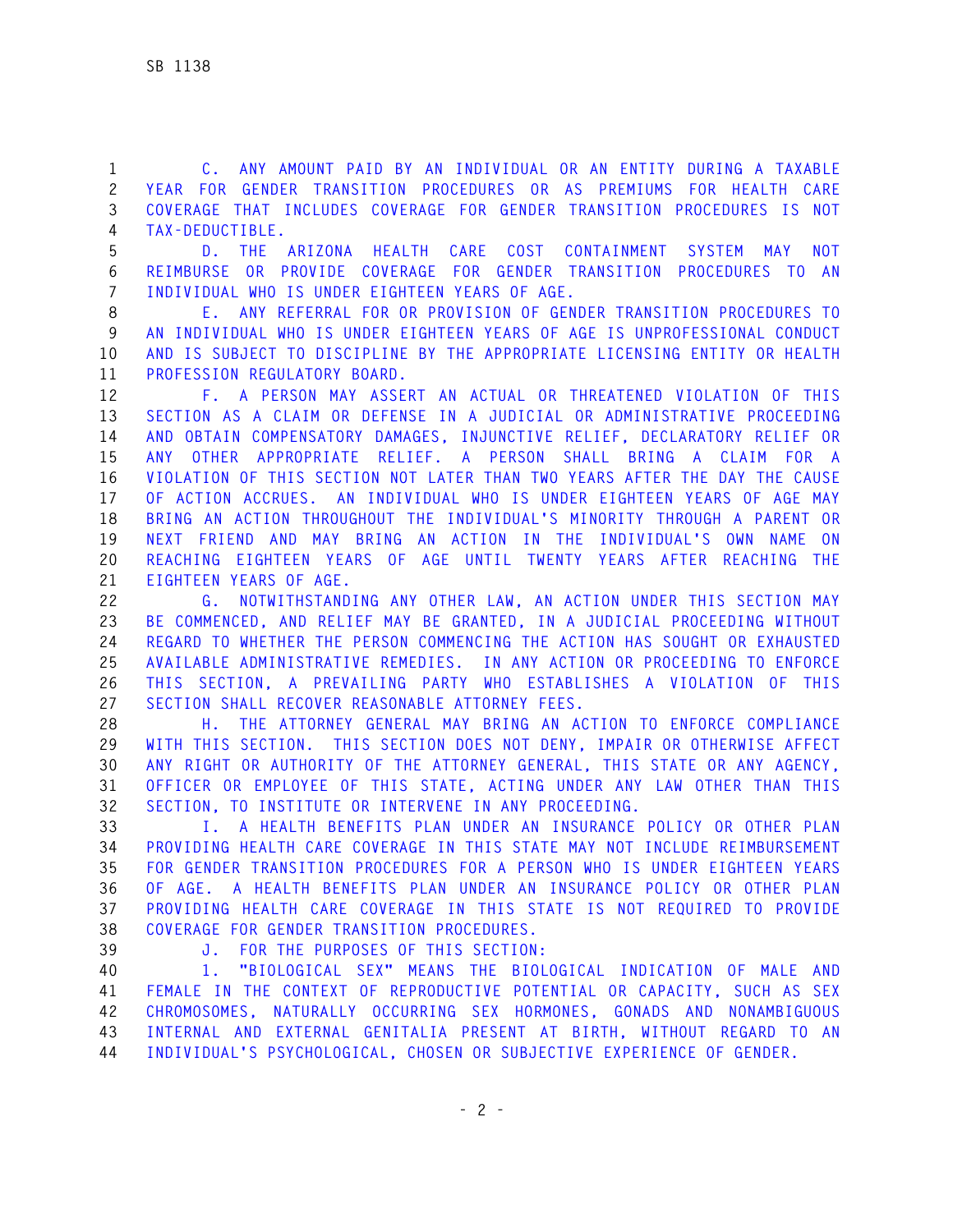**1 C. ANY AMOUNT PAID BY AN INDIVIDUAL OR AN ENTITY DURING A TAXABLE 2 YEAR FOR GENDER TRANSITION PROCEDURES OR AS PREMIUMS FOR HEALTH CARE 3 COVERAGE THAT INCLUDES COVERAGE FOR GENDER TRANSITION PROCEDURES IS NOT 4 TAX-DEDUCTIBLE.** 

**5 D. THE ARIZONA HEALTH CARE COST CONTAINMENT SYSTEM MAY NOT 6 REIMBURSE OR PROVIDE COVERAGE FOR GENDER TRANSITION PROCEDURES TO AN 7 INDIVIDUAL WHO IS UNDER EIGHTEEN YEARS OF AGE.** 

**8 E. ANY REFERRAL FOR OR PROVISION OF GENDER TRANSITION PROCEDURES TO 9 AN INDIVIDUAL WHO IS UNDER EIGHTEEN YEARS OF AGE IS UNPROFESSIONAL CONDUCT 10 AND IS SUBJECT TO DISCIPLINE BY THE APPROPRIATE LICENSING ENTITY OR HEALTH 11 PROFESSION REGULATORY BOARD.** 

**12 F. A PERSON MAY ASSERT AN ACTUAL OR THREATENED VIOLATION OF THIS 13 SECTION AS A CLAIM OR DEFENSE IN A JUDICIAL OR ADMINISTRATIVE PROCEEDING 14 AND OBTAIN COMPENSATORY DAMAGES, INJUNCTIVE RELIEF, DECLARATORY RELIEF OR 15 ANY OTHER APPROPRIATE RELIEF. A PERSON SHALL BRING A CLAIM FOR A 16 VIOLATION OF THIS SECTION NOT LATER THAN TWO YEARS AFTER THE DAY THE CAUSE 17 OF ACTION ACCRUES. AN INDIVIDUAL WHO IS UNDER EIGHTEEN YEARS OF AGE MAY 18 BRING AN ACTION THROUGHOUT THE INDIVIDUAL'S MINORITY THROUGH A PARENT OR 19 NEXT FRIEND AND MAY BRING AN ACTION IN THE INDIVIDUAL'S OWN NAME ON 20 REACHING EIGHTEEN YEARS OF AGE UNTIL TWENTY YEARS AFTER REACHING THE 21 EIGHTEEN YEARS OF AGE.** 

**22 G. NOTWITHSTANDING ANY OTHER LAW, AN ACTION UNDER THIS SECTION MAY 23 BE COMMENCED, AND RELIEF MAY BE GRANTED, IN A JUDICIAL PROCEEDING WITHOUT 24 REGARD TO WHETHER THE PERSON COMMENCING THE ACTION HAS SOUGHT OR EXHAUSTED 25 AVAILABLE ADMINISTRATIVE REMEDIES. IN ANY ACTION OR PROCEEDING TO ENFORCE 26 THIS SECTION, A PREVAILING PARTY WHO ESTABLISHES A VIOLATION OF THIS 27 SECTION SHALL RECOVER REASONABLE ATTORNEY FEES.** 

**28 H. THE ATTORNEY GENERAL MAY BRING AN ACTION TO ENFORCE COMPLIANCE 29 WITH THIS SECTION. THIS SECTION DOES NOT DENY, IMPAIR OR OTHERWISE AFFECT 30 ANY RIGHT OR AUTHORITY OF THE ATTORNEY GENERAL, THIS STATE OR ANY AGENCY, 31 OFFICER OR EMPLOYEE OF THIS STATE, ACTING UNDER ANY LAW OTHER THAN THIS 32 SECTION, TO INSTITUTE OR INTERVENE IN ANY PROCEEDING.** 

**33 I. A HEALTH BENEFITS PLAN UNDER AN INSURANCE POLICY OR OTHER PLAN 34 PROVIDING HEALTH CARE COVERAGE IN THIS STATE MAY NOT INCLUDE REIMBURSEMENT 35 FOR GENDER TRANSITION PROCEDURES FOR A PERSON WHO IS UNDER EIGHTEEN YEARS 36 OF AGE. A HEALTH BENEFITS PLAN UNDER AN INSURANCE POLICY OR OTHER PLAN 37 PROVIDING HEALTH CARE COVERAGE IN THIS STATE IS NOT REQUIRED TO PROVIDE 38 COVERAGE FOR GENDER TRANSITION PROCEDURES.** 

**39 J. FOR THE PURPOSES OF THIS SECTION:** 

**40 1. "BIOLOGICAL SEX" MEANS THE BIOLOGICAL INDICATION OF MALE AND 41 FEMALE IN THE CONTEXT OF REPRODUCTIVE POTENTIAL OR CAPACITY, SUCH AS SEX 42 CHROMOSOMES, NATURALLY OCCURRING SEX HORMONES, GONADS AND NONAMBIGUOUS 43 INTERNAL AND EXTERNAL GENITALIA PRESENT AT BIRTH, WITHOUT REGARD TO AN 44 INDIVIDUAL'S PSYCHOLOGICAL, CHOSEN OR SUBJECTIVE EXPERIENCE OF GENDER.**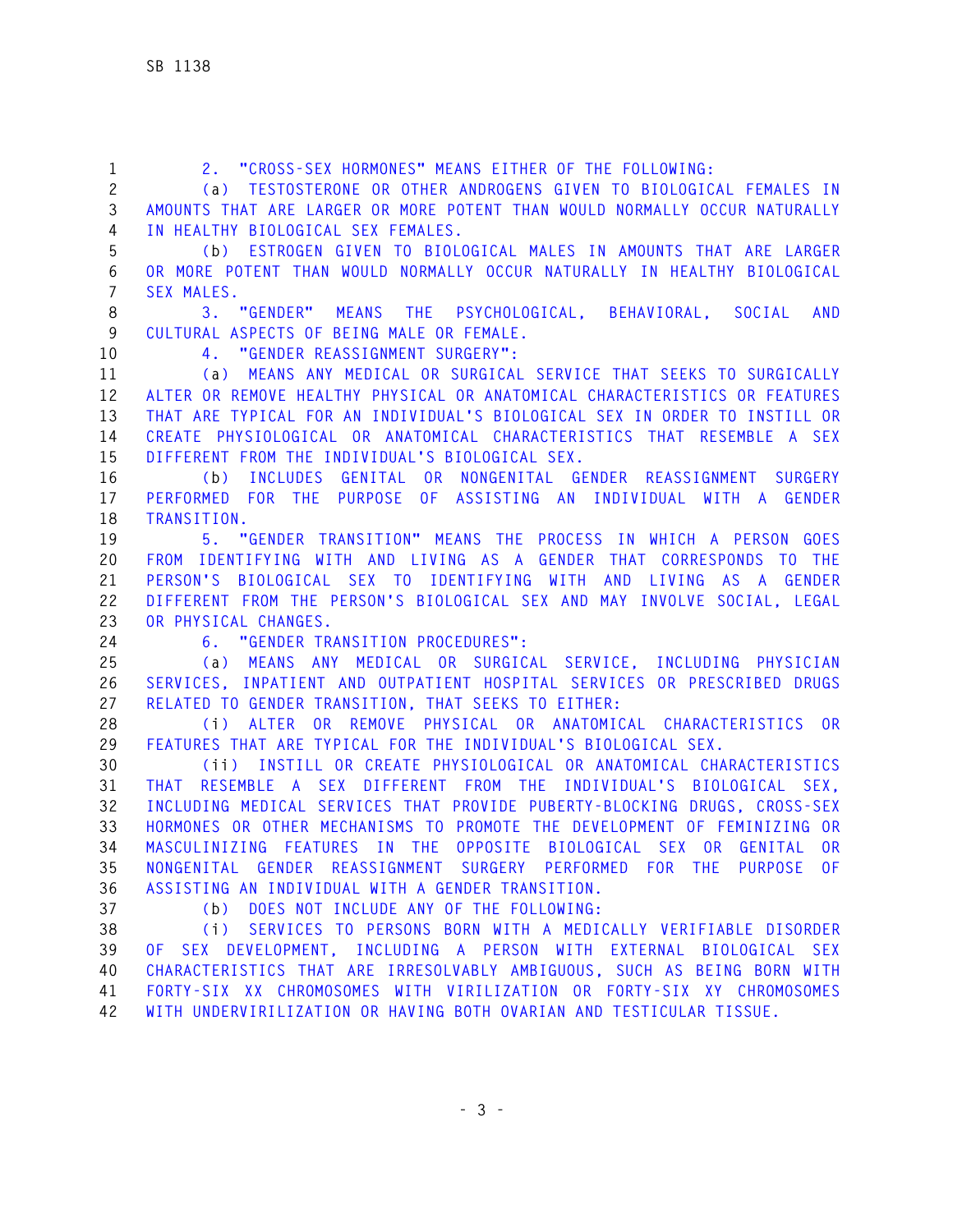| $\mathbf{1}$      | 2. "CROSS-SEX HORMONES" MEANS EITHER OF THE FOLLOWING:                                                                                           |
|-------------------|--------------------------------------------------------------------------------------------------------------------------------------------------|
| $\mathbf{2}$<br>3 | (a) TESTOSTERONE OR OTHER ANDROGENS GIVEN TO BIOLOGICAL FEMALES IN<br>AMOUNTS THAT ARE LARGER OR MORE POTENT THAN WOULD NORMALLY OCCUR NATURALLY |
| 4                 | IN HEALTHY BIOLOGICAL SEX FEMALES.                                                                                                               |
| 5                 | ESTROGEN GIVEN TO BIOLOGICAL MALES IN AMOUNTS THAT ARE LARGER<br>(b)                                                                             |
| $\,6$             | OR MORE POTENT THAN WOULD NORMALLY OCCUR NATURALLY IN HEALTHY BIOLOGICAL                                                                         |
| $\overline{7}$    | SEX MALES.                                                                                                                                       |
| 8                 | 3. "GENDER" MEANS THE PSYCHOLOGICAL, BEHAVIORAL, SOCIAL<br><b>AND</b>                                                                            |
| 9                 | CULTURAL ASPECTS OF BEING MALE OR FEMALE.                                                                                                        |
| 10                | 4. "GENDER REASSIGNMENT SURGERY":                                                                                                                |
| 11                | (a) MEANS ANY MEDICAL OR SURGICAL SERVICE THAT SEEKS TO SURGICALLY                                                                               |
| 12                | ALTER OR REMOVE HEALTHY PHYSICAL OR ANATOMICAL CHARACTERISTICS OR FEATURES                                                                       |
| 13                | THAT ARE TYPICAL FOR AN INDIVIDUAL'S BIOLOGICAL SEX IN ORDER TO INSTILL OR                                                                       |
| 14                | CREATE PHYSIOLOGICAL OR ANATOMICAL CHARACTERISTICS THAT RESEMBLE A SEX                                                                           |
| 15                | DIFFERENT FROM THE INDIVIDUAL'S BIOLOGICAL SEX.                                                                                                  |
| 16                | (b) INCLUDES GENITAL OR NONGENITAL GENDER REASSIGNMENT SURGERY                                                                                   |
| 17                | PERFORMED FOR THE PURPOSE OF ASSISTING AN INDIVIDUAL WITH A GENDER                                                                               |
| 18                | TRANSITION.                                                                                                                                      |
| 19                | 5. "GENDER TRANSITION" MEANS THE PROCESS IN WHICH A PERSON GOES                                                                                  |
| 20                | FROM IDENTIFYING WITH AND LIVING AS A GENDER THAT CORRESPONDS TO THE                                                                             |
| 21                | PERSON'S BIOLOGICAL SEX TO IDENTIFYING WITH AND LIVING AS A GENDER                                                                               |
| 22                | DIFFERENT FROM THE PERSON'S BIOLOGICAL SEX AND MAY INVOLVE SOCIAL, LEGAL                                                                         |
| 23                | OR PHYSICAL CHANGES.                                                                                                                             |
| 24                | 6. "GENDER TRANSITION PROCEDURES":                                                                                                               |
| 25                | MEANS ANY MEDICAL OR SURGICAL SERVICE, INCLUDING PHYSICIAN<br>(a)                                                                                |
| 26                | SERVICES, INPATIENT AND OUTPATIENT HOSPITAL SERVICES OR PRESCRIBED DRUGS                                                                         |
| 27                | RELATED TO GENDER TRANSITION, THAT SEEKS TO EITHER:                                                                                              |
| 28                | $(i)$ ALTER<br>OR REMOVE PHYSICAL OR ANATOMICAL CHARACTERISTICS OR                                                                               |
| 29                | FEATURES THAT ARE TYPICAL FOR THE INDIVIDUAL'S BIOLOGICAL SEX.                                                                                   |
| 30                | (ii) INSTILL OR CREATE PHYSIOLOGICAL OR ANATOMICAL CHARACTERISTICS                                                                               |
| 31                | THAT RESEMBLE A SEX DIFFERENT FROM THE INDIVIDUAL'S BIOLOGICAL SEX,                                                                              |
| 32                | INCLUDING MEDICAL SERVICES THAT PROVIDE PUBERTY-BLOCKING DRUGS, CROSS-SEX                                                                        |
| 33                | HORMONES OR OTHER MECHANISMS TO PROMOTE THE DEVELOPMENT OF FEMINIZING OR                                                                         |
| 34                | MASCULINIZING FEATURES IN THE OPPOSITE BIOLOGICAL SEX OR GENITAL OR                                                                              |
| 35                | NONGENITAL GENDER REASSIGNMENT SURGERY PERFORMED FOR THE PURPOSE OF                                                                              |
| 36                | ASSISTING AN INDIVIDUAL WITH A GENDER TRANSITION.                                                                                                |
| 37                | (b) DOES NOT INCLUDE ANY OF THE FOLLOWING:                                                                                                       |
| 38                | (i) SERVICES TO PERSONS BORN WITH A MEDICALLY VERIFIABLE DISORDER                                                                                |
| 39                | OF SEX DEVELOPMENT, INCLUDING A PERSON WITH EXTERNAL BIOLOGICAL SEX                                                                              |
| 40                | CHARACTERISTICS THAT ARE IRRESOLVABLY AMBIGUOUS, SUCH AS BEING BORN WITH                                                                         |
| 41                | FORTY-SIX XX CHROMOSOMES WITH VIRILIZATION OR FORTY-SIX XY CHROMOSOMES                                                                           |
| 42                | WITH UNDERVIRILIZATION OR HAVING BOTH OVARIAN AND TESTICULAR TISSUE.                                                                             |
|                   |                                                                                                                                                  |
|                   |                                                                                                                                                  |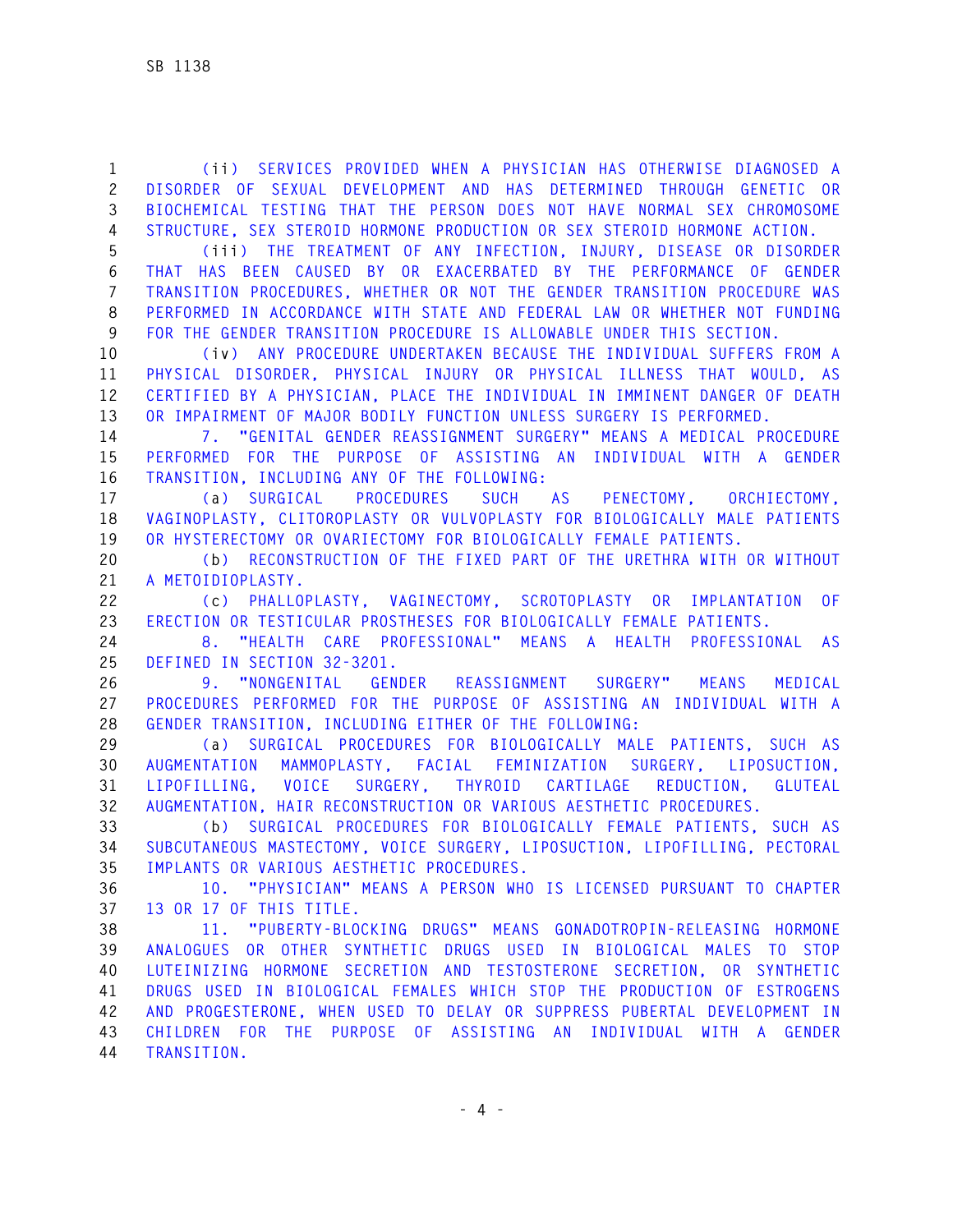**1 (ii) SERVICES PROVIDED WHEN A PHYSICIAN HAS OTHERWISE DIAGNOSED A 2 DISORDER OF SEXUAL DEVELOPMENT AND HAS DETERMINED THROUGH GENETIC OR 3 BIOCHEMICAL TESTING THAT THE PERSON DOES NOT HAVE NORMAL SEX CHROMOSOME 4 STRUCTURE, SEX STEROID HORMONE PRODUCTION OR SEX STEROID HORMONE ACTION.** 

**5 (iii) THE TREATMENT OF ANY INFECTION, INJURY, DISEASE OR DISORDER 6 THAT HAS BEEN CAUSED BY OR EXACERBATED BY THE PERFORMANCE OF GENDER 7 TRANSITION PROCEDURES, WHETHER OR NOT THE GENDER TRANSITION PROCEDURE WAS 8 PERFORMED IN ACCORDANCE WITH STATE AND FEDERAL LAW OR WHETHER NOT FUNDING 9 FOR THE GENDER TRANSITION PROCEDURE IS ALLOWABLE UNDER THIS SECTION.** 

**10 (iv) ANY PROCEDURE UNDERTAKEN BECAUSE THE INDIVIDUAL SUFFERS FROM A 11 PHYSICAL DISORDER, PHYSICAL INJURY OR PHYSICAL ILLNESS THAT WOULD, AS 12 CERTIFIED BY A PHYSICIAN, PLACE THE INDIVIDUAL IN IMMINENT DANGER OF DEATH 13 OR IMPAIRMENT OF MAJOR BODILY FUNCTION UNLESS SURGERY IS PERFORMED.** 

**14 7. "GENITAL GENDER REASSIGNMENT SURGERY" MEANS A MEDICAL PROCEDURE 15 PERFORMED FOR THE PURPOSE OF ASSISTING AN INDIVIDUAL WITH A GENDER 16 TRANSITION, INCLUDING ANY OF THE FOLLOWING:** 

**17 (a) SURGICAL PROCEDURES SUCH AS PENECTOMY, ORCHIECTOMY, 18 VAGINOPLASTY, CLITOROPLASTY OR VULVOPLASTY FOR BIOLOGICALLY MALE PATIENTS 19 OR HYSTERECTOMY OR OVARIECTOMY FOR BIOLOGICALLY FEMALE PATIENTS.** 

**20 (b) RECONSTRUCTION OF THE FIXED PART OF THE URETHRA WITH OR WITHOUT 21 A METOIDIOPLASTY.** 

**22 (c) PHALLOPLASTY, VAGINECTOMY, SCROTOPLASTY OR IMPLANTATION OF 23 ERECTION OR TESTICULAR PROSTHESES FOR BIOLOGICALLY FEMALE PATIENTS.** 

**24 8. "HEALTH CARE PROFESSIONAL" MEANS A HEALTH PROFESSIONAL AS 25 DEFINED IN SECTION 32-3201.** 

**26 9. "NONGENITAL GENDER REASSIGNMENT SURGERY" MEANS MEDICAL 27 PROCEDURES PERFORMED FOR THE PURPOSE OF ASSISTING AN INDIVIDUAL WITH A 28 GENDER TRANSITION, INCLUDING EITHER OF THE FOLLOWING:** 

**29 (a) SURGICAL PROCEDURES FOR BIOLOGICALLY MALE PATIENTS, SUCH AS 30 AUGMENTATION MAMMOPLASTY, FACIAL FEMINIZATION SURGERY, LIPOSUCTION, 31 LIPOFILLING, VOICE SURGERY, THYROID CARTILAGE REDUCTION, GLUTEAL 32 AUGMENTATION, HAIR RECONSTRUCTION OR VARIOUS AESTHETIC PROCEDURES.** 

**33 (b) SURGICAL PROCEDURES FOR BIOLOGICALLY FEMALE PATIENTS, SUCH AS 34 SUBCUTANEOUS MASTECTOMY, VOICE SURGERY, LIPOSUCTION, LIPOFILLING, PECTORAL 35 IMPLANTS OR VARIOUS AESTHETIC PROCEDURES.** 

**36 10. "PHYSICIAN" MEANS A PERSON WHO IS LICENSED PURSUANT TO CHAPTER 37 13 OR 17 OF THIS TITLE.** 

**38 11. "PUBERTY-BLOCKING DRUGS" MEANS GONADOTROPIN-RELEASING HORMONE 39 ANALOGUES OR OTHER SYNTHETIC DRUGS USED IN BIOLOGICAL MALES TO STOP 40 LUTEINIZING HORMONE SECRETION AND TESTOSTERONE SECRETION, OR SYNTHETIC 41 DRUGS USED IN BIOLOGICAL FEMALES WHICH STOP THE PRODUCTION OF ESTROGENS 42 AND PROGESTERONE, WHEN USED TO DELAY OR SUPPRESS PUBERTAL DEVELOPMENT IN 43 CHILDREN FOR THE PURPOSE OF ASSISTING AN INDIVIDUAL WITH A GENDER 44 TRANSITION.**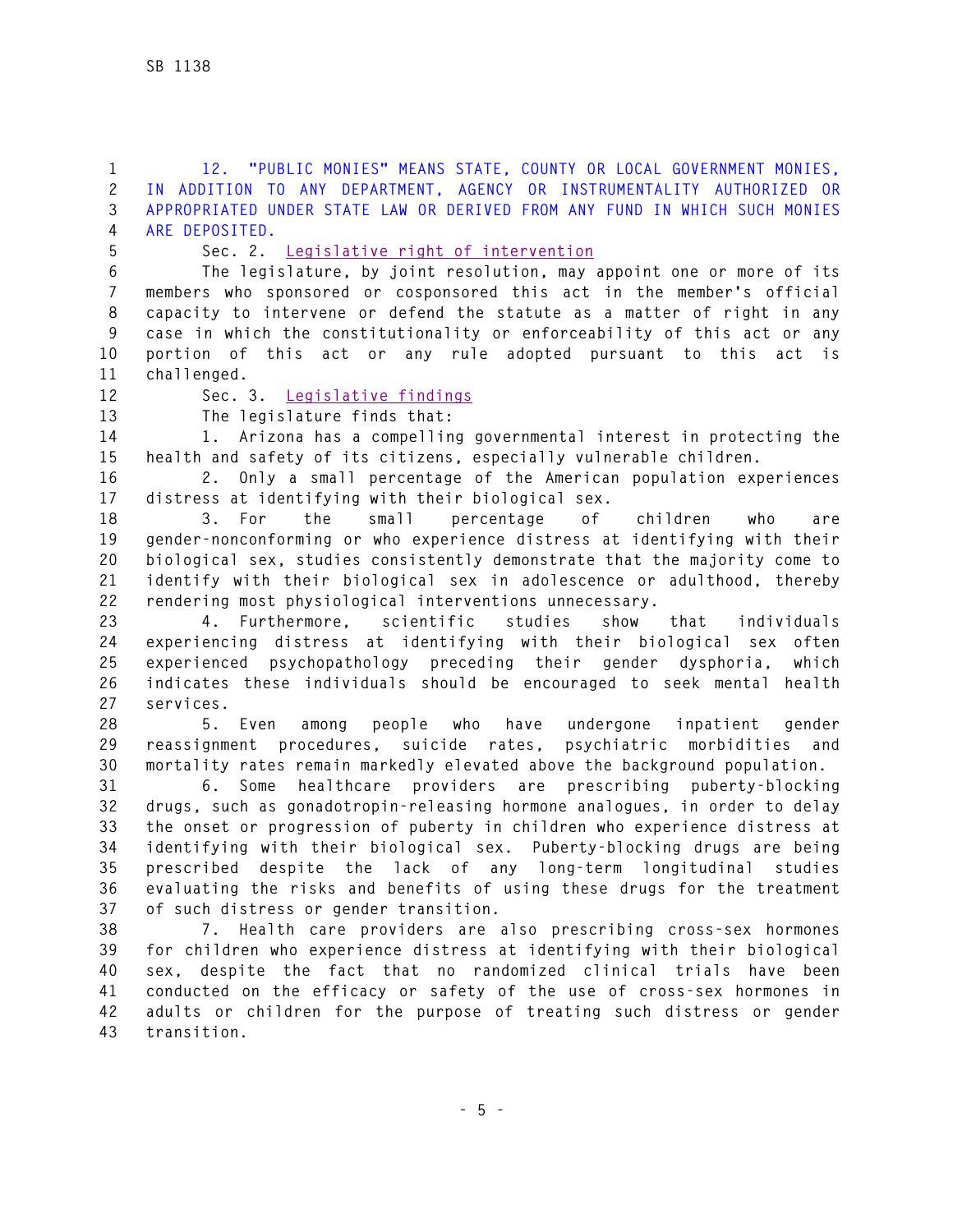**1 12. "PUBLIC MONIES" MEANS STATE, COUNTY OR LOCAL GOVERNMENT MONIES, 2 IN ADDITION TO ANY DEPARTMENT, AGENCY OR INSTRUMENTALITY AUTHORIZED OR 3 APPROPRIATED UNDER STATE LAW OR DERIVED FROM ANY FUND IN WHICH SUCH MONIES 4 ARE DEPOSITED.** 

**5 Sec. 2. Legislative right of intervention**

**6 The legislature, by joint resolution, may appoint one or more of its 7 members who sponsored or cosponsored this act in the member's official 8 capacity to intervene or defend the statute as a matter of right in any 9 case in which the constitutionality or enforceability of this act or any 10 portion of this act or any rule adopted pursuant to this act is 11 challenged.** 

**12 Sec. 3. Legislative findings** 

**13 The legislature finds that:** 

**14 1. Arizona has a compelling governmental interest in protecting the 15 health and safety of its citizens, especially vulnerable children.** 

**16 2. Only a small percentage of the American population experiences 17 distress at identifying with their biological sex.** 

**18 3. For the small percentage of children who are 19 gender-nonconforming or who experience distress at identifying with their 20 biological sex, studies consistently demonstrate that the majority come to 21 identify with their biological sex in adolescence or adulthood, thereby 22 rendering most physiological interventions unnecessary.** 

**23 4. Furthermore, scientific studies show that individuals 24 experiencing distress at identifying with their biological sex often 25 experienced psychopathology preceding their gender dysphoria, which 26 indicates these individuals should be encouraged to seek mental health 27 services.** 

**28 5. Even among people who have undergone inpatient gender 29 reassignment procedures, suicide rates, psychiatric morbidities and 30 mortality rates remain markedly elevated above the background population.** 

**31 6. Some healthcare providers are prescribing puberty-blocking 32 drugs, such as gonadotropin-releasing hormone analogues, in order to delay 33 the onset or progression of puberty in children who experience distress at 34 identifying with their biological sex. Puberty-blocking drugs are being 35 prescribed despite the lack of any long-term longitudinal studies 36 evaluating the risks and benefits of using these drugs for the treatment 37 of such distress or gender transition.** 

**38 7. Health care providers are also prescribing cross-sex hormones 39 for children who experience distress at identifying with their biological 40 sex, despite the fact that no randomized clinical trials have been 41 conducted on the efficacy or safety of the use of cross-sex hormones in 42 adults or children for the purpose of treating such distress or gender 43 transition.**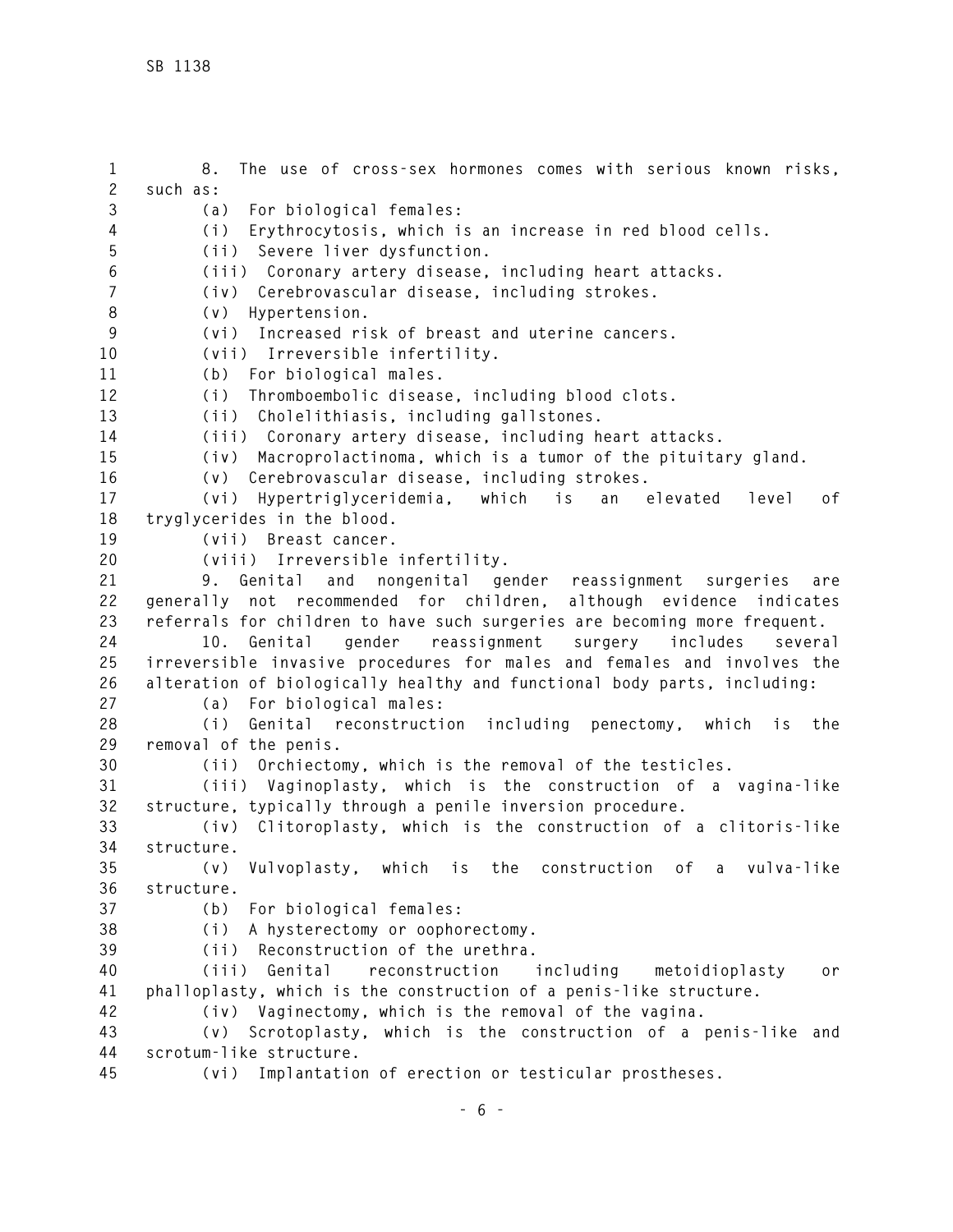**1 8. The use of cross-sex hormones comes with serious known risks, 2 such as: 3 (a) For biological females: 4 (i) Erythrocytosis, which is an increase in red blood cells. 5 (ii) Severe liver dysfunction. 6 (iii) Coronary artery disease, including heart attacks. 7 (iv) Cerebrovascular disease, including strokes. 8 (v) Hypertension. 9 (vi) Increased risk of breast and uterine cancers. 10 (vii) Irreversible infertility. 11 (b) For biological males. 12 (i) Thromboembolic disease, including blood clots. 13 (ii) Cholelithiasis, including gallstones. 14 (iii) Coronary artery disease, including heart attacks. 15 (iv) Macroprolactinoma, which is a tumor of the pituitary gland. 16 (v) Cerebrovascular disease, including strokes. 17 (vi) Hypertriglyceridemia, which is an elevated level of 18 tryglycerides in the blood. 19 (vii) Breast cancer. 20 (viii) Irreversible infertility. 21 9. Genital and nongenital gender reassignment surgeries are 22 generally not recommended for children, although evidence indicates 23 referrals for children to have such surgeries are becoming more frequent. 24 10. Genital gender reassignment surgery includes several 25 irreversible invasive procedures for males and females and involves the 26 alteration of biologically healthy and functional body parts, including: 27 (a) For biological males: 28 (i) Genital reconstruction including penectomy, which is the 29 removal of the penis. 30 (ii) Orchiectomy, which is the removal of the testicles. 31 (iii) Vaginoplasty, which is the construction of a vagina-like 32 structure, typically through a penile inversion procedure. 33 (iv) Clitoroplasty, which is the construction of a clitoris-like 34 structure. 35 (v) Vulvoplasty, which is the construction of a vulva-like 36 structure. 37 (b) For biological females: 38 (i) A hysterectomy or oophorectomy. 39 (ii) Reconstruction of the urethra. 40 (iii) Genital reconstruction including metoidioplasty or 41 phalloplasty, which is the construction of a penis-like structure. 42 (iv) Vaginectomy, which is the removal of the vagina. 43 (v) Scrotoplasty, which is the construction of a penis-like and 44 scrotum-like structure. 45 (vi) Implantation of erection or testicular prostheses.**